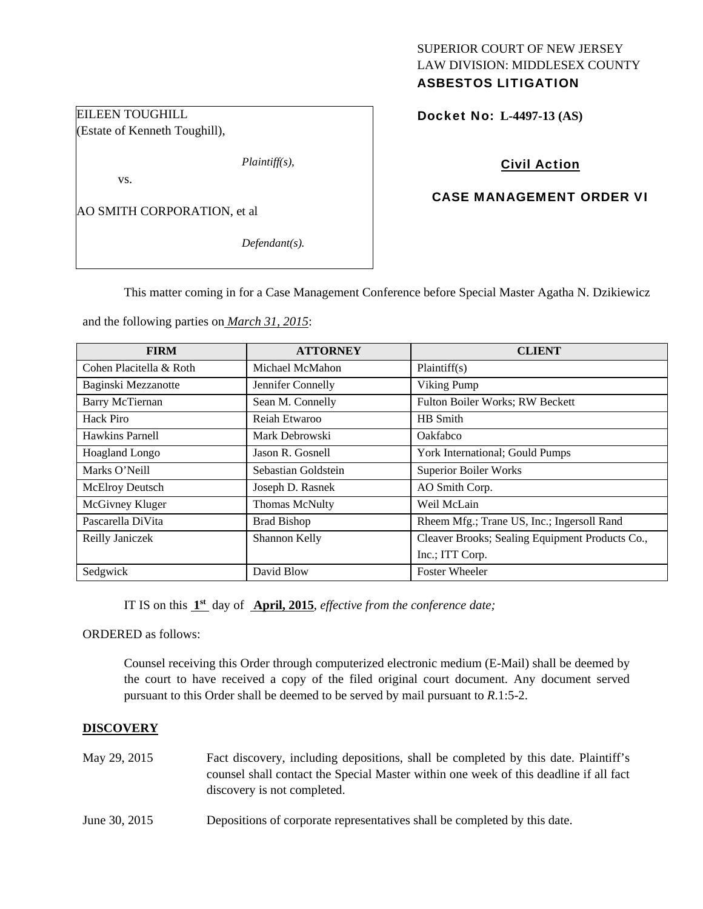# SUPERIOR COURT OF NEW JERSEY LAW DIVISION: MIDDLESEX COUNTY

# ASBESTOS LITIGATION

Docket No: **L-4497-13 (AS)** 

# Civil Action

## CASE MANAGEMENT ORDER VI

AO SMITH CORPORATION, et al

EILEEN TOUGHILL

vs.

(Estate of Kenneth Toughill),

*Defendant(s).* 

*Plaintiff(s),* 

This matter coming in for a Case Management Conference before Special Master Agatha N. Dzikiewicz

and the following parties on *March 31, 2015*:

| <b>FIRM</b>             | <b>ATTORNEY</b>       | <b>CLIENT</b>                                   |
|-------------------------|-----------------------|-------------------------------------------------|
| Cohen Placitella & Roth | Michael McMahon       | Plaintiff(s)                                    |
| Baginski Mezzanotte     | Jennifer Connelly     | Viking Pump                                     |
| <b>Barry McTiernan</b>  | Sean M. Connelly      | Fulton Boiler Works; RW Beckett                 |
| Hack Piro               | Reiah Etwaroo         | HB Smith                                        |
| Hawkins Parnell         | Mark Debrowski        | Oakfabco                                        |
| Hoagland Longo          | Jason R. Gosnell      | York International; Gould Pumps                 |
| Marks O'Neill           | Sebastian Goldstein   | <b>Superior Boiler Works</b>                    |
| McElroy Deutsch         | Joseph D. Rasnek      | AO Smith Corp.                                  |
| McGivney Kluger         | <b>Thomas McNulty</b> | Weil McLain                                     |
| Pascarella DiVita       | <b>Brad Bishop</b>    | Rheem Mfg.; Trane US, Inc.; Ingersoll Rand      |
| Reilly Janiczek         | Shannon Kelly         | Cleaver Brooks; Sealing Equipment Products Co., |
|                         |                       | Inc.; ITT Corp.                                 |
| Sedgwick                | David Blow            | <b>Foster Wheeler</b>                           |

IT IS on this **1st** day of **April, 2015**, *effective from the conference date;*

ORDERED as follows:

Counsel receiving this Order through computerized electronic medium (E-Mail) shall be deemed by the court to have received a copy of the filed original court document. Any document served pursuant to this Order shall be deemed to be served by mail pursuant to *R*.1:5-2.

## **DISCOVERY**

| May 29, 2015  | Fact discovery, including depositions, shall be completed by this date. Plaintiff's<br>counsel shall contact the Special Master within one week of this deadline if all fact |
|---------------|------------------------------------------------------------------------------------------------------------------------------------------------------------------------------|
|               | discovery is not completed.                                                                                                                                                  |
| June 30, 2015 | Depositions of corporate representatives shall be completed by this date.                                                                                                    |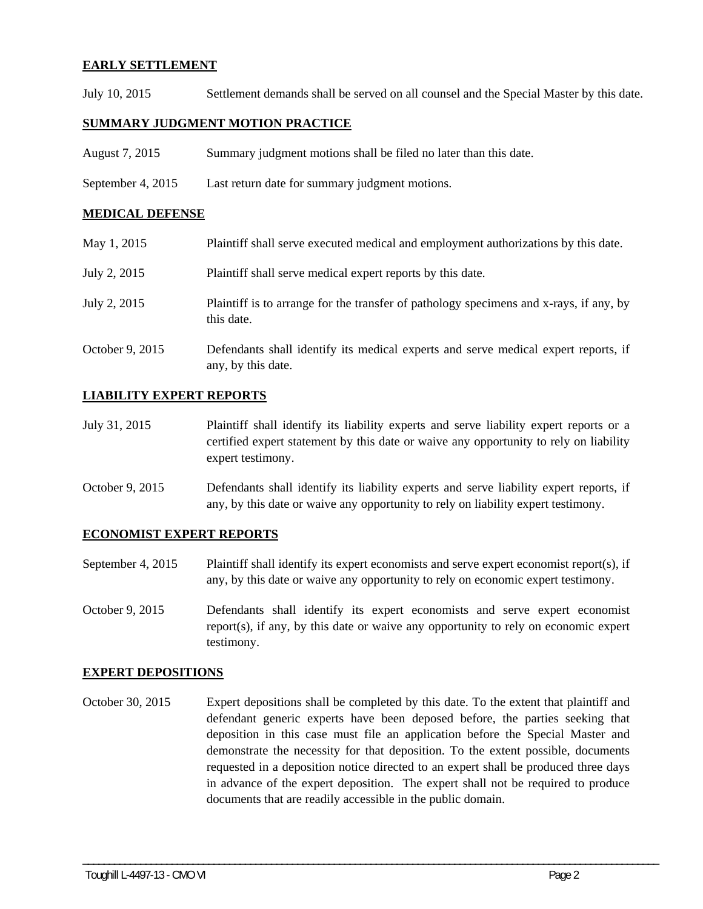#### **EARLY SETTLEMENT**

July 10, 2015 Settlement demands shall be served on all counsel and the Special Master by this date.

### **SUMMARY JUDGMENT MOTION PRACTICE**

- August 7, 2015 Summary judgment motions shall be filed no later than this date.
- September 4, 2015 Last return date for summary judgment motions.

#### **MEDICAL DEFENSE**

| May 1, 2015     | Plaintiff shall serve executed medical and employment authorizations by this date.                       |
|-----------------|----------------------------------------------------------------------------------------------------------|
| July 2, 2015    | Plaintiff shall serve medical expert reports by this date.                                               |
| July 2, 2015    | Plaintiff is to arrange for the transfer of pathology specimens and x-rays, if any, by<br>this date.     |
| October 9, 2015 | Defendants shall identify its medical experts and serve medical expert reports, if<br>any, by this date. |

#### **LIABILITY EXPERT REPORTS**

- July 31, 2015 Plaintiff shall identify its liability experts and serve liability expert reports or a certified expert statement by this date or waive any opportunity to rely on liability expert testimony.
- October 9, 2015 Defendants shall identify its liability experts and serve liability expert reports, if any, by this date or waive any opportunity to rely on liability expert testimony.

#### **ECONOMIST EXPERT REPORTS**

- September 4, 2015 Plaintiff shall identify its expert economists and serve expert economist report(s), if any, by this date or waive any opportunity to rely on economic expert testimony.
- October 9, 2015 Defendants shall identify its expert economists and serve expert economist report(s), if any, by this date or waive any opportunity to rely on economic expert testimony.

#### **EXPERT DEPOSITIONS**

October 30, 2015 Expert depositions shall be completed by this date. To the extent that plaintiff and defendant generic experts have been deposed before, the parties seeking that deposition in this case must file an application before the Special Master and demonstrate the necessity for that deposition. To the extent possible, documents requested in a deposition notice directed to an expert shall be produced three days in advance of the expert deposition. The expert shall not be required to produce documents that are readily accessible in the public domain.

\_\_\_\_\_\_\_\_\_\_\_\_\_\_\_\_\_\_\_\_\_\_\_\_\_\_\_\_\_\_\_\_\_\_\_\_\_\_\_\_\_\_\_\_\_\_\_\_\_\_\_\_\_\_\_\_\_\_\_\_\_\_\_\_\_\_\_\_\_\_\_\_\_\_\_\_\_\_\_\_\_\_\_\_\_\_\_\_\_\_\_\_\_\_\_\_\_\_\_\_\_\_\_\_\_\_\_\_\_\_